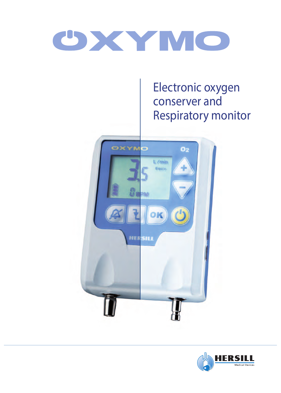

Electronic oxygen conserver and Respiratory monitor